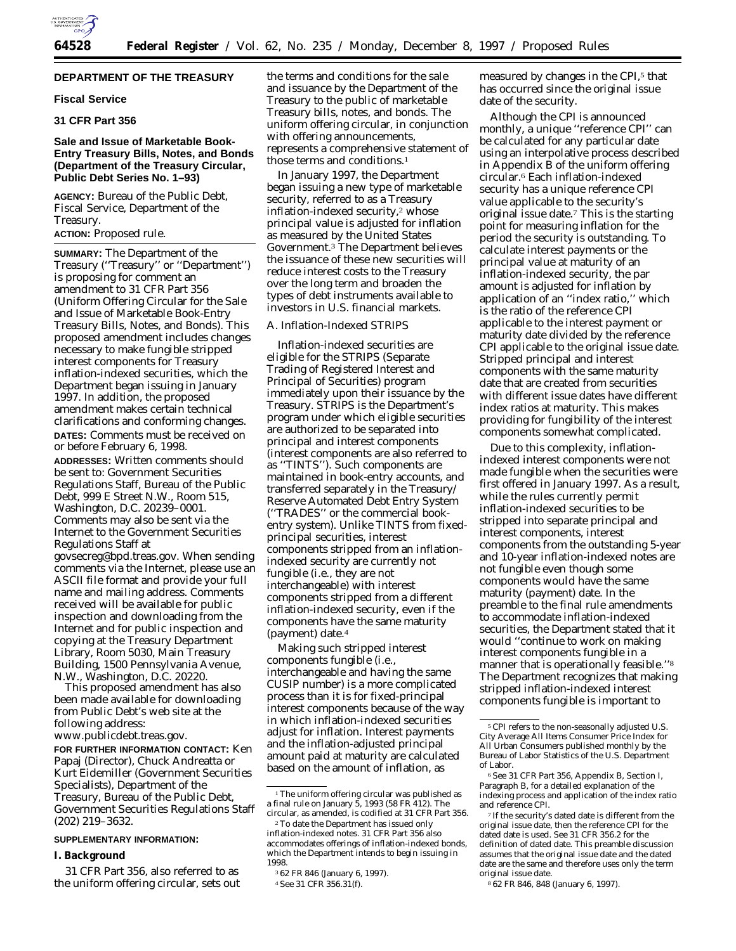

# **DEPARTMENT OF THE TREASURY**

## **Fiscal Service**

# **31 CFR Part 356**

# **Sale and Issue of Marketable Book-Entry Treasury Bills, Notes, and Bonds (Department of the Treasury Circular, Public Debt Series No. 1–93)**

**AGENCY:** Bureau of the Public Debt, Fiscal Service, Department of the Treasury.

## **ACTION:** Proposed rule.

**SUMMARY:** The Department of the Treasury (''Treasury'' or ''Department'') is proposing for comment an amendment to 31 CFR Part 356 (Uniform Offering Circular for the Sale and Issue of Marketable Book-Entry Treasury Bills, Notes, and Bonds). This proposed amendment includes changes necessary to make fungible stripped interest components for Treasury inflation-indexed securities, which the Department began issuing in January 1997. In addition, the proposed amendment makes certain technical clarifications and conforming changes. **DATES:** Comments must be received on or before February 6, 1998.

**ADDRESSES:** Written comments should be sent to: Government Securities Regulations Staff, Bureau of the Public Debt, 999 E Street N.W., Room 515, Washington, D.C. 20239–0001. Comments may also be sent via the Internet to the Government Securities Regulations Staff at

govsecreg@bpd.treas.gov. When sending comments via the Internet, please use an ASCII file format and provide your full name and mailing address. Comments received will be available for public inspection and downloading from the Internet and for public inspection and copying at the Treasury Department Library, Room 5030, Main Treasury Building, 1500 Pennsylvania Avenue, N.W., Washington, D.C. 20220.

This proposed amendment has also been made available for downloading from Public Debt's web site at the following address: www.publicdebt.treas.gov.

**FOR FURTHER INFORMATION CONTACT:** Ken Papaj (Director), Chuck Andreatta or Kurt Eidemiller (Government Securities

Specialists), Department of the Treasury, Bureau of the Public Debt, Government Securities Regulations Staff (202) 219–3632.

# **SUPPLEMENTARY INFORMATION:**

#### **I. Background**

31 CFR Part 356, also referred to as the uniform offering circular, sets out the terms and conditions for the sale and issuance by the Department of the Treasury to the public of marketable Treasury bills, notes, and bonds. The uniform offering circular, in conjunction with offering announcements, represents a comprehensive statement of those terms and conditions.1

In January 1997, the Department began issuing a new type of marketable security, referred to as a Treasury inflation-indexed security,2 whose principal value is adjusted for inflation as measured by the United States Government.3 The Department believes the issuance of these new securities will reduce interest costs to the Treasury over the long term and broaden the types of debt instruments available to investors in U.S. financial markets.

## *A. Inflation-Indexed STRIPS*

Inflation-indexed securities are eligible for the STRIPS (Separate Trading of Registered Interest and Principal of Securities) program immediately upon their issuance by the Treasury. STRIPS is the Department's program under which eligible securities are authorized to be separated into principal and interest components (interest components are also referred to as ''TINTS''). Such components are maintained in book-entry accounts, and transferred separately in the Treasury/ Reserve Automated Debt Entry System (''TRADES'' or the commercial bookentry system). Unlike TINTS from fixedprincipal securities, interest components stripped from an inflationindexed security are currently not fungible (i.e., they are not interchangeable) with interest components stripped from a different inflation-indexed security, even if the components have the same maturity (payment) date.4

Making such stripped interest components fungible (i.e., interchangeable and having the same CUSIP number) is a more complicated process than it is for fixed-principal interest components because of the way in which inflation-indexed securities adjust for inflation. Interest payments and the inflation-adjusted principal amount paid at maturity are calculated based on the amount of inflation, as

measured by changes in the CPI,<sup>5</sup> that has occurred since the original issue date of the security.

Although the CPI is announced monthly, a unique "reference CPI" can be calculated for any particular date using an interpolative process described in Appendix B of the uniform offering circular.6 Each inflation-indexed security has a unique reference CPI value applicable to the security's original issue date.7 This is the starting point for measuring inflation for the period the security is outstanding. To calculate interest payments or the principal value at maturity of an inflation-indexed security, the par amount is adjusted for inflation by application of an ''index ratio,'' which is the ratio of the reference CPI applicable to the interest payment or maturity date divided by the reference CPI applicable to the original issue date. Stripped principal and interest components with the same maturity date that are created from securities with different issue dates have different index ratios at maturity. This makes providing for fungibility of the interest components somewhat complicated.

Due to this complexity, inflationindexed interest components were not made fungible when the securities were first offered in January 1997. As a result, while the rules currently permit inflation-indexed securities to be stripped into separate principal and interest components, interest components from the outstanding 5-year and 10-year inflation-indexed notes are not fungible even though some components would have the same maturity (payment) date. In the preamble to the final rule amendments to accommodate inflation-indexed securities, the Department stated that it would ''continue to work on making interest components fungible in a manner that is operationally feasible.''8 The Department recognizes that making stripped inflation-indexed interest components fungible is important to

8 62 FR 846, 848 (January 6, 1997).

 $^{\rm 1}$  The uniform offering circular was published as a final rule on January 5, 1993 (58 FR 412). The circular, as amended, is codified at 31 CFR Part 356.

<sup>2</sup>To date the Department has issued only inflation-indexed notes. 31 CFR Part 356 also accommodates offerings of inflation-indexed bonds, which the Department intends to begin issuing in 1998.

<sup>3</sup> 62 FR 846 (January 6, 1997).

<sup>4</sup>See 31 CFR 356.31(f).

 $^{\rm 5}$  CPI refers to the non-seasonally adjusted U.S. City Average All Items Consumer Price Index for All Urban Consumers published monthly by the Bureau of Labor Statistics of the U.S. Department of Labor.

<sup>6</sup>See 31 CFR Part 356, Appendix B, Section I, Paragraph B, for a detailed explanation of the indexing process and application of the index ratio and reference CPI.

<sup>7</sup> If the security's dated date is different from the original issue date, then the reference CPI for the dated date is used. See 31 CFR 356.2 for the definition of dated date. This preamble discussion assumes that the original issue date and the dated date are the same and therefore uses only the term original issue date.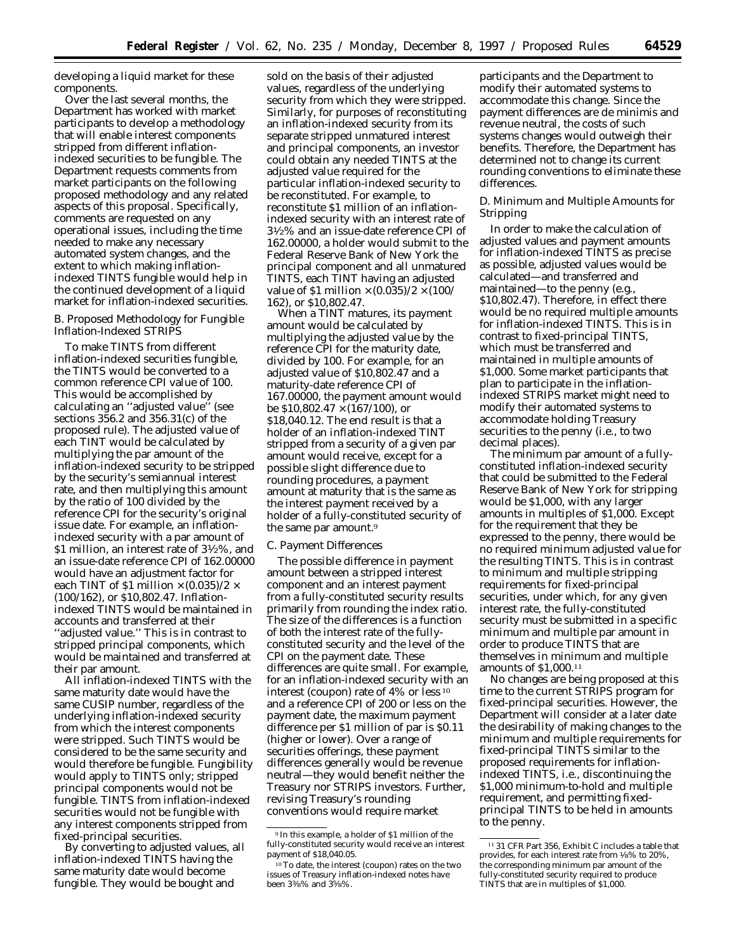developing a liquid market for these components.

Over the last several months, the Department has worked with market participants to develop a methodology that will enable interest components stripped from different inflationindexed securities to be fungible. The Department requests comments from market participants on the following proposed methodology and any related aspects of this proposal. Specifically, comments are requested on any operational issues, including the time needed to make any necessary automated system changes, and the extent to which making inflationindexed TINTS fungible would help in the continued development of a liquid market for inflation-indexed securities.

## *B. Proposed Methodology for Fungible Inflation-Indexed STRIPS*

To make TINTS from different inflation-indexed securities fungible, the TINTS would be converted to a common reference CPI value of 100. This would be accomplished by calculating an ''adjusted value'' (see sections 356.2 and 356.31(c) of the proposed rule). The adjusted value of each TINT would be calculated by multiplying the par amount of the inflation-indexed security to be stripped by the security's semiannual interest rate, and then multiplying this amount by the ratio of 100 divided by the reference CPI for the security's original issue date. For example, an inflationindexed security with a par amount of \$1 million, an interest rate of 31⁄2%, and an issue-date reference CPI of 162.00000 would have an adjustment factor for each TINT of \$1 million  $\times$  (0.035)/2  $\times$ (100/162), or \$10,802.47. Inflationindexed TINTS would be maintained in accounts and transferred at their ''adjusted value.'' This is in contrast to stripped principal components, which would be maintained and transferred at their par amount.

All inflation-indexed TINTS with the same maturity date would have the same CUSIP number, regardless of the underlying inflation-indexed security from which the interest components were stripped. Such TINTS would be considered to be the same security and would therefore be fungible. Fungibility would apply to TINTS only; stripped principal components would not be fungible. TINTS from inflation-indexed securities would not be fungible with any interest components stripped from fixed-principal securities.

By converting to adjusted values, all inflation-indexed TINTS having the same maturity date would become fungible. They would be bought and

sold on the basis of their adjusted values, regardless of the underlying security from which they were stripped. Similarly, for purposes of reconstituting an inflation-indexed security from its separate stripped unmatured interest and principal components, an investor could obtain any needed TINTS at the adjusted value required for the particular inflation-indexed security to be reconstituted. For example, to reconstitute \$1 million of an inflationindexed security with an interest rate of 31⁄2% and an issue-date reference CPI of 162.00000, a holder would submit to the Federal Reserve Bank of New York the principal component and all unmatured TINTS, each TINT having an adjusted value of \$1 million  $\times$  (0.035)/2  $\times$  (100/ 162), or \$10,802.47.

When a TINT matures, its payment amount would be calculated by multiplying the adjusted value by the reference CPI for the maturity date, divided by 100. For example, for an adjusted value of \$10,802.47 and a maturity-date reference CPI of 167.00000, the payment amount would be  $$10,802.47 \times (167/100)$ , or \$18,040.12. The end result is that a holder of an inflation-indexed TINT stripped from a security of a given par amount would receive, except for a possible slight difference due to rounding procedures, a payment amount at maturity that is the same as the interest payment received by a holder of a fully-constituted security of the same par amount.9

#### *C. Payment Differences*

The possible difference in payment amount between a stripped interest component and an interest payment from a fully-constituted security results primarily from rounding the index ratio. The size of the differences is a function of both the interest rate of the fullyconstituted security and the level of the CPI on the payment date. These differences are quite small. For example, for an inflation-indexed security with an interest (coupon) rate of 4% or less 10 and a reference CPI of 200 or less on the payment date, the maximum payment difference per \$1 million of par is \$0.11 (higher or lower). Over a range of securities offerings, these payment differences generally would be revenue neutral—they would benefit neither the Treasury nor STRIPS investors. Further, revising Treasury's rounding conventions would require market

participants and the Department to modify their automated systems to accommodate this change. Since the payment differences are *de minimis* and revenue neutral, the costs of such systems changes would outweigh their benefits. Therefore, the Department has determined not to change its current rounding conventions to eliminate these differences.

## *D. Minimum and Multiple Amounts for Stripping*

In order to make the calculation of adjusted values and payment amounts for inflation-indexed TINTS as precise as possible, adjusted values would be calculated—and transferred and maintained—to the penny (e.g., \$10,802.47). Therefore, in effect there would be no required multiple amounts for inflation-indexed TINTS. This is in contrast to fixed-principal TINTS, which must be transferred and maintained in multiple amounts of \$1,000. Some market participants that plan to participate in the inflationindexed STRIPS market might need to modify their automated systems to accommodate holding Treasury securities to the penny (i.e., to two decimal places).

The minimum par amount of a fullyconstituted inflation-indexed security that could be submitted to the Federal Reserve Bank of New York for stripping would be \$1,000, with any larger amounts in multiples of \$1,000. Except for the requirement that they be expressed to the penny, there would be no required minimum adjusted value for the resulting TINTS. This is in contrast to minimum and multiple stripping requirements for fixed-principal securities, under which, for any given interest rate, the fully-constituted security must be submitted in a specific minimum and multiple par amount in order to produce TINTS that are themselves in minimum and multiple amounts of \$1,000.11

No changes are being proposed at this time to the current STRIPS program for fixed-principal securities. However, the Department will consider at a later date the desirability of making changes to the minimum and multiple requirements for fixed-principal TINTS similar to the proposed requirements for inflationindexed TINTS, i.e., discontinuing the \$1,000 minimum-to-hold and multiple requirement, and permitting fixedprincipal TINTS to be held in amounts to the penny.

<sup>9</sup> In this example, a holder of \$1 million of the fully-constituted security would receive an interest payment of \$18,040.05.

<sup>10</sup>To date, the interest (coupon) rates on the two issues of Treasury inflation-indexed notes have been 33⁄8% and 35⁄8%.

<sup>11</sup> 31 CFR Part 356, Exhibit C includes a table that provides, for each interest rate from 1⁄8% to 20%, the corresponding minimum par amount of the fully-constituted security required to produce TINTS that are in multiples of \$1,000.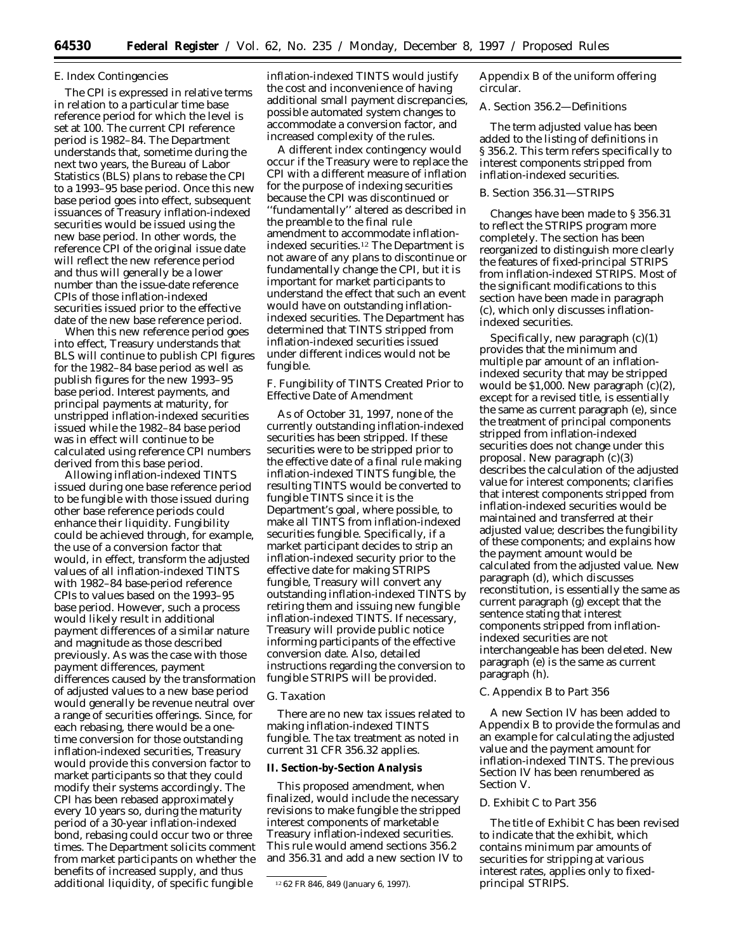# *E. Index Contingencies*

The CPI is expressed in relative terms in relation to a particular time base reference period for which the level is set at 100. The current CPI reference period is 1982–84. The Department understands that, sometime during the next two years, the Bureau of Labor Statistics (BLS) plans to rebase the CPI to a 1993–95 base period. Once this new base period goes into effect, subsequent issuances of Treasury inflation-indexed securities would be issued using the new base period. In other words, the reference CPI of the original issue date will reflect the new reference period and thus will generally be a lower number than the issue-date reference CPIs of those inflation-indexed securities issued prior to the effective date of the new base reference period.

When this new reference period goes into effect, Treasury understands that BLS will continue to publish CPI figures for the 1982–84 base period as well as publish figures for the new 1993–95 base period. Interest payments, and principal payments at maturity, for unstripped inflation-indexed securities issued while the 1982–84 base period was in effect will continue to be calculated using reference CPI numbers derived from this base period.

Allowing inflation-indexed TINTS issued during one base reference period to be fungible with those issued during other base reference periods could enhance their liquidity. Fungibility could be achieved through, for example, the use of a conversion factor that would, in effect, transform the adjusted values of all inflation-indexed TINTS with 1982–84 base-period reference CPIs to values based on the 1993–95 base period. However, such a process would likely result in additional payment differences of a similar nature and magnitude as those described previously. As was the case with those payment differences, payment differences caused by the transformation of adjusted values to a new base period would generally be revenue neutral over a range of securities offerings. Since, for each rebasing, there would be a onetime conversion for those outstanding inflation-indexed securities, Treasury would provide this conversion factor to market participants so that they could modify their systems accordingly. The CPI has been rebased approximately every 10 years so, during the maturity period of a 30-year inflation-indexed bond, rebasing could occur two or three times. The Department solicits comment from market participants on whether the benefits of increased supply, and thus additional liquidity, of specific fungible

inflation-indexed TINTS would justify the cost and inconvenience of having additional small payment discrepancies, possible automated system changes to accommodate a conversion factor, and increased complexity of the rules.

A different index contingency would occur if the Treasury were to replace the CPI with a different measure of inflation for the purpose of indexing securities because the CPI was discontinued or ''fundamentally'' altered as described in the preamble to the final rule amendment to accommodate inflationindexed securities.12 The Department is not aware of any plans to discontinue or fundamentally change the CPI, but it is important for market participants to understand the effect that such an event would have on outstanding inflationindexed securities. The Department has determined that TINTS stripped from inflation-indexed securities issued under different indices would not be fungible.

# *F. Fungibility of TINTS Created Prior to Effective Date of Amendment*

As of October 31, 1997, none of the currently outstanding inflation-indexed securities has been stripped. If these securities were to be stripped prior to the effective date of a final rule making inflation-indexed TINTS fungible, the resulting TINTS would be converted to fungible TINTS since it is the Department's goal, where possible, to make all TINTS from inflation-indexed securities fungible. Specifically, if a market participant decides to strip an inflation-indexed security prior to the effective date for making STRIPS fungible, Treasury will convert any outstanding inflation-indexed TINTS by retiring them and issuing new fungible inflation-indexed TINTS. If necessary, Treasury will provide public notice informing participants of the effective conversion date. Also, detailed instructions regarding the conversion to fungible STRIPS will be provided.

#### *G. Taxation*

There are no new tax issues related to making inflation-indexed TINTS fungible. The tax treatment as noted in current 31 CFR 356.32 applies.

#### **II. Section-by-Section Analysis**

This proposed amendment, when finalized, would include the necessary revisions to make fungible the stripped interest components of marketable Treasury inflation-indexed securities. This rule would amend sections 356.2 and 356.31 and add a new section IV to Appendix B of the uniform offering circular.

## *A. Section 356.2—Definitions*

The term *adjusted value* has been added to the listing of definitions in § 356.2. This term refers specifically to interest components stripped from inflation-indexed securities.

#### *B. Section 356.31—STRIPS*

Changes have been made to § 356.31 to reflect the STRIPS program more completely. The section has been reorganized to distinguish more clearly the features of fixed-principal STRIPS from inflation-indexed STRIPS. Most of the significant modifications to this section have been made in paragraph (c), which only discusses inflationindexed securities.

Specifically, new paragraph  $(c)(1)$ provides that the minimum and multiple par amount of an inflationindexed security that may be stripped would be \$1,000. New paragraph (c)(2), except for a revised title, is essentially the same as current paragraph (e), since the treatment of principal components stripped from inflation-indexed securities does not change under this proposal. New paragraph (c)(3) describes the calculation of the adjusted value for interest components; clarifies that interest components stripped from inflation-indexed securities would be maintained and transferred at their adjusted value; describes the fungibility of these components; and explains how the payment amount would be calculated from the adjusted value. New paragraph (d), which discusses reconstitution, is essentially the same as current paragraph (g) except that the sentence stating that interest components stripped from inflationindexed securities are not interchangeable has been deleted. New paragraph (e) is the same as current paragraph (h).

## *C. Appendix B to Part 356*

A new Section IV has been added to Appendix B to provide the formulas and an example for calculating the adjusted value and the payment amount for inflation-indexed TINTS. The previous Section IV has been renumbered as Section V.

#### *D. Exhibit C to Part 356*

The title of Exhibit C has been revised to indicate that the exhibit, which contains minimum par amounts of securities for stripping at various interest rates, applies only to fixedprincipal STRIPS.

<sup>12</sup> 62 FR 846, 849 (January 6, 1997).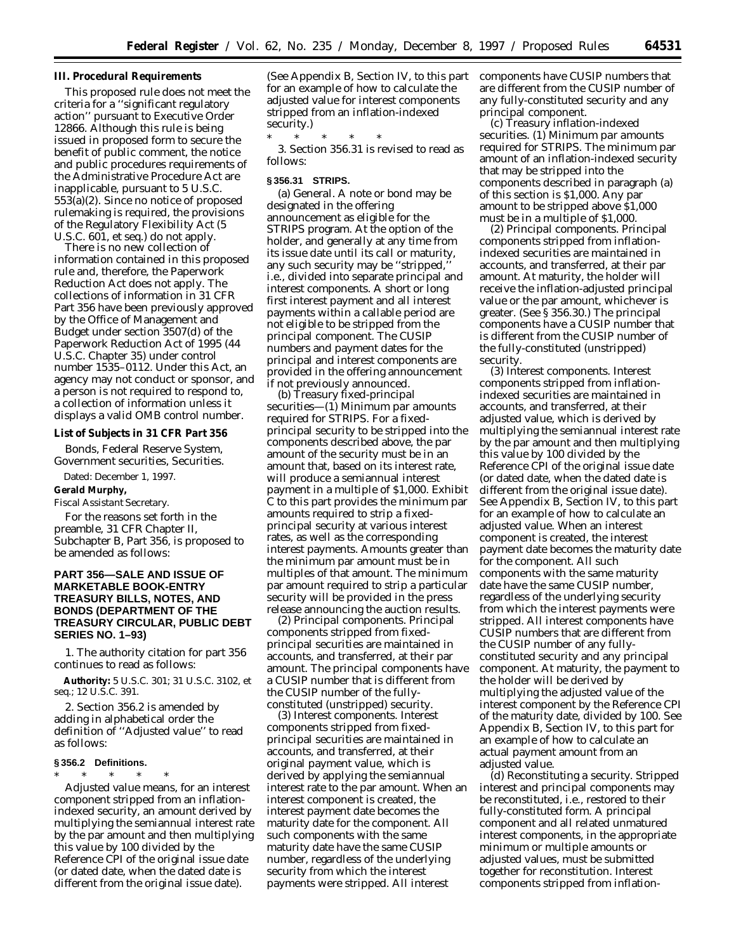### **III. Procedural Requirements**

This proposed rule does not meet the criteria for a ''significant regulatory action'' pursuant to Executive Order 12866. Although this rule is being issued in proposed form to secure the benefit of public comment, the notice and public procedures requirements of the Administrative Procedure Act are inapplicable, pursuant to 5 U.S.C. 553(a)(2). Since no notice of proposed rulemaking is required, the provisions of the Regulatory Flexibility Act (5 U.S.C. 601, *et seq.*) do not apply.

There is no new collection of information contained in this proposed rule and, therefore, the Paperwork Reduction Act does not apply. The collections of information in 31 CFR Part 356 have been previously approved by the Office of Management and Budget under section 3507(d) of the Paperwork Reduction Act of 1995 (44 U.S.C. Chapter 35) under control number 1535–0112. Under this Act, an agency may not conduct or sponsor, and a person is not required to respond to, a collection of information unless it displays a valid OMB control number.

#### **List of Subjects in 31 CFR Part 356**

Bonds, Federal Reserve System, Government securities, Securities.

Dated: December 1, 1997.

# **Gerald Murphy,**

*Fiscal Assistant Secretary.* For the reasons set forth in the

preamble, 31 CFR Chapter II, Subchapter B, Part 356, is proposed to be amended as follows:

# **PART 356—SALE AND ISSUE OF MARKETABLE BOOK-ENTRY TREASURY BILLS, NOTES, AND BONDS (DEPARTMENT OF THE TREASURY CIRCULAR, PUBLIC DEBT SERIES NO. 1–93)**

1. The authority citation for part 356 continues to read as follows:

**Authority:** 5 U.S.C. 301; 31 U.S.C. 3102, *et seq.*; 12 U.S.C. 391.

2. Section 356.2 is amended by adding in alphabetical order the definition of ''Adjusted value'' to read as follows:

# **§ 356.2 Definitions.**

\* \* \* \* \* *Adjusted value* means, for an interest component stripped from an inflationindexed security, an amount derived by multiplying the semiannual interest rate by the par amount and then multiplying this value by 100 divided by the Reference CPI of the original issue date (or dated date, when the dated date is different from the original issue date).

(See Appendix B, Section IV, to this part for an example of how to calculate the adjusted value for interest components stripped from an inflation-indexed security.)

\* \* \* \* \* 3. Section 356.31 is revised to read as follows:

#### **§ 356.31 STRIPS.**

(a) *General.* A note or bond may be designated in the offering announcement as eligible for the STRIPS program. At the option of the holder, and generally at any time from its issue date until its call or maturity, any such security may be ''stripped,'' i.e., divided into separate principal and interest components. A short or long first interest payment and all interest payments within a callable period are not eligible to be stripped from the principal component. The CUSIP numbers and payment dates for the principal and interest components are provided in the offering announcement if not previously announced.

(b) *Treasury fixed-principal securities*—(1) *Minimum par amounts required for STRIPS.* For a fixedprincipal security to be stripped into the components described above, the par amount of the security must be in an amount that, based on its interest rate, will produce a semiannual interest payment in a multiple of \$1,000. Exhibit C to this part provides the minimum par amounts required to strip a fixedprincipal security at various interest rates, as well as the corresponding interest payments. Amounts greater than the minimum par amount must be in multiples of that amount. The minimum par amount required to strip a particular security will be provided in the press release announcing the auction results.

(2) *Principal components.* Principal components stripped from fixedprincipal securities are maintained in accounts, and transferred, at their par amount. The principal components have a CUSIP number that is different from the CUSIP number of the fullyconstituted (unstripped) security.

(3) *Interest components.* Interest components stripped from fixedprincipal securities are maintained in accounts, and transferred, at their original payment value, which is derived by applying the semiannual interest rate to the par amount. When an interest component is created, the interest payment date becomes the maturity date for the component. All such components with the same maturity date have the same CUSIP number, regardless of the underlying security from which the interest payments were stripped. All interest

components have CUSIP numbers that are different from the CUSIP number of any fully-constituted security and any principal component.

(c) *Treasury inflation-indexed securities.* (1) *Minimum par amounts required for STRIPS.* The minimum par amount of an inflation-indexed security that may be stripped into the components described in paragraph (a) of this section is \$1,000. Any par amount to be stripped above \$1,000 must be in a multiple of \$1,000.

(2) *Principal components.* Principal components stripped from inflationindexed securities are maintained in accounts, and transferred, at their par amount. At maturity, the holder will receive the inflation-adjusted principal value or the par amount, whichever is greater. (See § 356.30.) The principal components have a CUSIP number that is different from the CUSIP number of the fully-constituted (unstripped) security.

(3) *Interest components.* Interest components stripped from inflationindexed securities are maintained in accounts, and transferred, at their adjusted value, which is derived by multiplying the semiannual interest rate by the par amount and then multiplying this value by 100 divided by the Reference CPI of the original issue date (or dated date, when the dated date is different from the original issue date). See Appendix B, Section IV, to this part for an example of how to calculate an adjusted value. When an interest component is created, the interest payment date becomes the maturity date for the component. All such components with the same maturity date have the same CUSIP number, regardless of the underlying security from which the interest payments were stripped. All interest components have CUSIP numbers that are different from the CUSIP number of any fullyconstituted security and any principal component. At maturity, the payment to the holder will be derived by multiplying the adjusted value of the interest component by the Reference CPI of the maturity date, divided by 100. See Appendix B, Section IV, to this part for an example of how to calculate an actual payment amount from an adjusted value.

(d) *Reconstituting a security.* Stripped interest and principal components may be reconstituted, i.e., restored to their fully-constituted form. A principal component and all related unmatured interest components, in the appropriate minimum or multiple amounts or adjusted values, must be submitted together for reconstitution. Interest components stripped from inflation